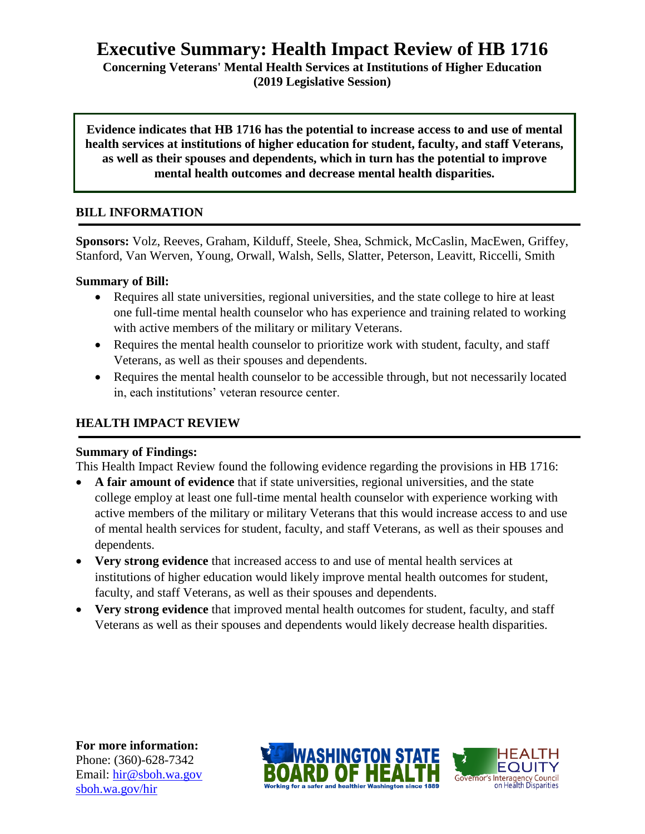# **Executive Summary: Health Impact Review of HB 1716**

**Concerning Veterans' Mental Health Services at Institutions of Higher Education (2019 Legislative Session)**

**Evidence indicates that HB 1716 has the potential to increase access to and use of mental health services at institutions of higher education for student, faculty, and staff Veterans, as well as their spouses and dependents, which in turn has the potential to improve mental health outcomes and decrease mental health disparities.**

## **BILL INFORMATION**

**Sponsors:** Volz, Reeves, Graham, Kilduff, Steele, Shea, Schmick, McCaslin, MacEwen, Griffey, Stanford, Van Werven, Young, Orwall, Walsh, Sells, Slatter, Peterson, Leavitt, Riccelli, Smith

#### **Summary of Bill:**

- Requires all state universities, regional universities, and the state college to hire at least one full-time mental health counselor who has experience and training related to working with active members of the military or military Veterans.
- Requires the mental health counselor to prioritize work with student, faculty, and staff Veterans, as well as their spouses and dependents.
- Requires the mental health counselor to be accessible through, but not necessarily located in, each institutions' veteran resource center.

## **HEALTH IMPACT REVIEW**

### **Summary of Findings:**

This Health Impact Review found the following evidence regarding the provisions in HB 1716:

- **A fair amount of evidence** that if state universities, regional universities, and the state college employ at least one full-time mental health counselor with experience working with active members of the military or military Veterans that this would increase access to and use of mental health services for student, faculty, and staff Veterans, as well as their spouses and dependents.
- **Very strong evidence** that increased access to and use of mental health services at institutions of higher education would likely improve mental health outcomes for student, faculty, and staff Veterans, as well as their spouses and dependents.
- **Very strong evidence** that improved mental health outcomes for student, faculty, and staff Veterans as well as their spouses and dependents would likely decrease health disparities.

**For more information:** Phone: (360)-628-7342 Email: [hir@sboh.wa.gov](mailto:hir@sboh.wa.gov) [sboh.wa.gov/](http://sboh.wa.gov/)hir



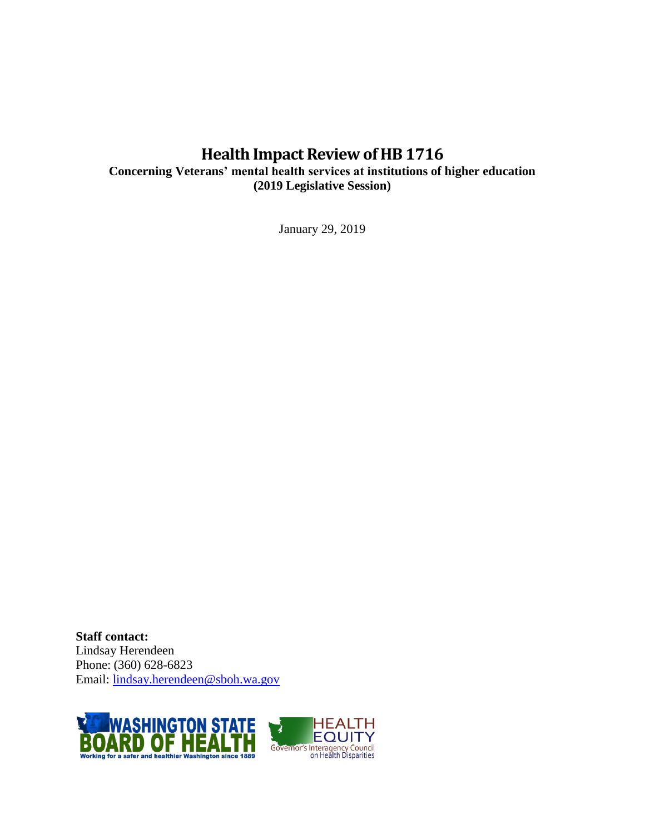## **Health Impact Review of HB1716**

**Concerning Veterans' mental health services at institutions of higher education (2019 Legislative Session)**

January 29, 2019

**Staff contact:** Lindsay Herendeen Phone: (360) 628-6823 Email: [lindsay.herendeen@sboh.wa.gov](mailto:lindsay.herendeen@sboh.wa.gov)

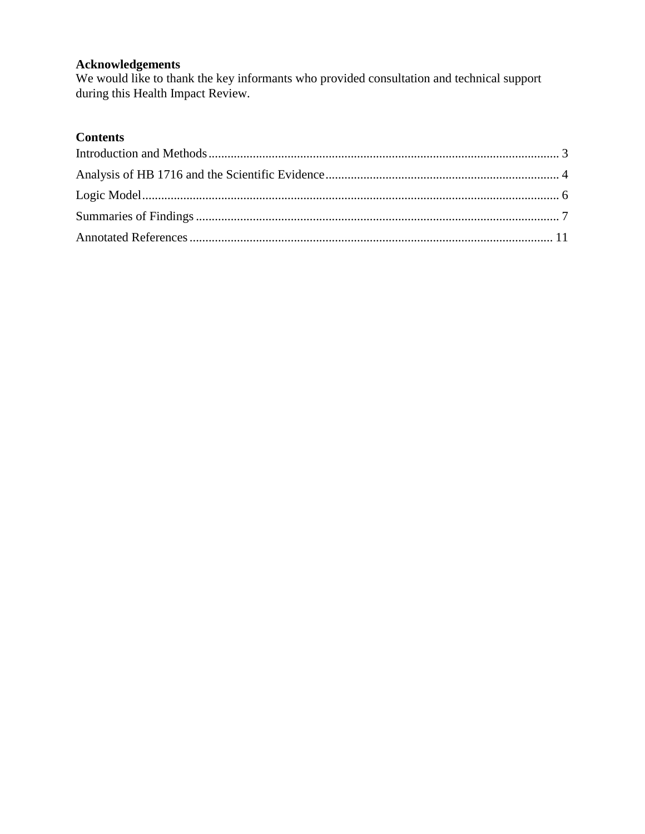## **Acknowledgements**

We would like to thank the key informants who provided consultation and technical support during this Health Impact Review.

## **Contents**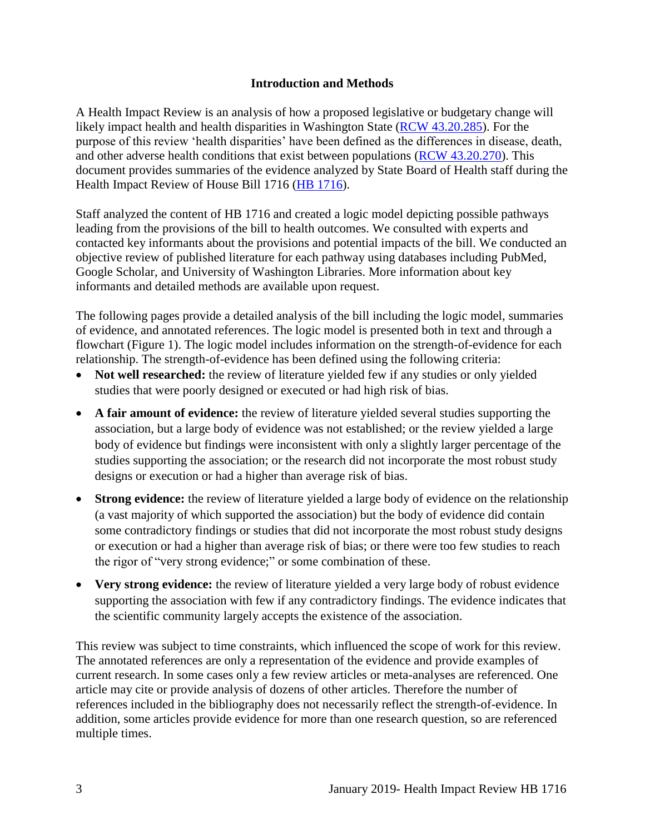#### **Introduction and Methods**

<span id="page-3-0"></span>A Health Impact Review is an analysis of how a proposed legislative or budgetary change will likely impact health and health disparities in Washington State [\(RCW 43.20.285\)](http://apps.leg.wa.gov/rcw/default.aspx?cite=43.20.285). For the purpose of this review 'health disparities' have been defined as the differences in disease, death, and other adverse health conditions that exist between populations [\(RCW 43.20.270\)](http://apps.leg.wa.gov/rcw/default.aspx?cite=43.20.270). This document provides summaries of the evidence analyzed by State Board of Health staff during the Health Impact Review of House Bill 1716 (HB [1716\)](https://app.leg.wa.gov/billsummary?BillNumber=1716&Year=2019&Initiative=false).

Staff analyzed the content of HB 1716 and created a logic model depicting possible pathways leading from the provisions of the bill to health outcomes. We consulted with experts and contacted key informants about the provisions and potential impacts of the bill. We conducted an objective review of published literature for each pathway using databases including PubMed, Google Scholar, and University of Washington Libraries. More information about key informants and detailed methods are available upon request.

The following pages provide a detailed analysis of the bill including the logic model, summaries of evidence, and annotated references. The logic model is presented both in text and through a flowchart (Figure 1). The logic model includes information on the strength-of-evidence for each relationship. The strength-of-evidence has been defined using the following criteria:

- Not well researched: the review of literature yielded few if any studies or only yielded studies that were poorly designed or executed or had high risk of bias.
- **A fair amount of evidence:** the review of literature yielded several studies supporting the association, but a large body of evidence was not established; or the review yielded a large body of evidence but findings were inconsistent with only a slightly larger percentage of the studies supporting the association; or the research did not incorporate the most robust study designs or execution or had a higher than average risk of bias.
- **Strong evidence:** the review of literature yielded a large body of evidence on the relationship (a vast majority of which supported the association) but the body of evidence did contain some contradictory findings or studies that did not incorporate the most robust study designs or execution or had a higher than average risk of bias; or there were too few studies to reach the rigor of "very strong evidence;" or some combination of these.
- Very strong evidence: the review of literature yielded a very large body of robust evidence supporting the association with few if any contradictory findings. The evidence indicates that the scientific community largely accepts the existence of the association.

This review was subject to time constraints, which influenced the scope of work for this review. The annotated references are only a representation of the evidence and provide examples of current research. In some cases only a few review articles or meta-analyses are referenced. One article may cite or provide analysis of dozens of other articles. Therefore the number of references included in the bibliography does not necessarily reflect the strength-of-evidence. In addition, some articles provide evidence for more than one research question, so are referenced multiple times.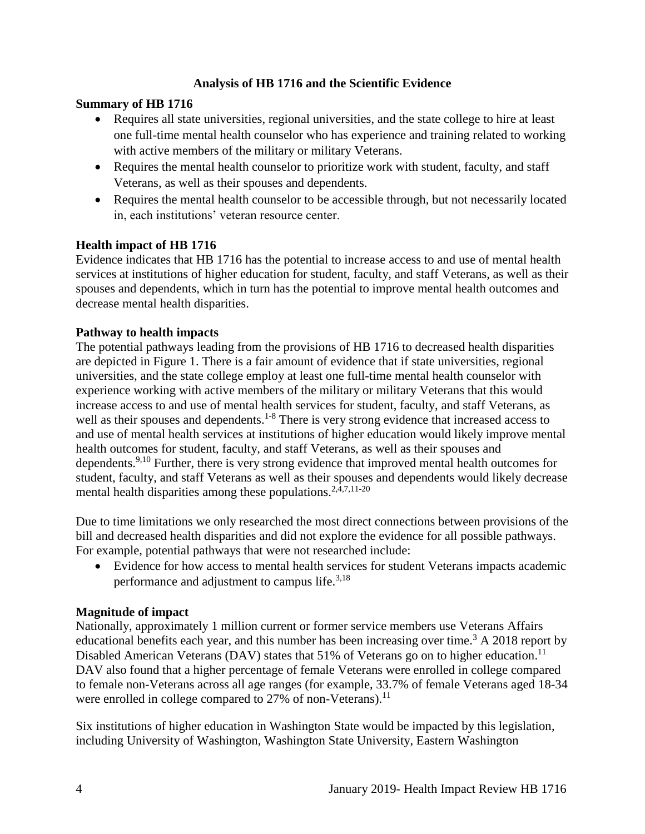## **Analysis of HB 1716 and the Scientific Evidence**

## <span id="page-4-0"></span>**Summary of HB 1716**

- Requires all state universities, regional universities, and the state college to hire at least one full-time mental health counselor who has experience and training related to working with active members of the military or military Veterans.
- Requires the mental health counselor to prioritize work with student, faculty, and staff Veterans, as well as their spouses and dependents.
- Requires the mental health counselor to be accessible through, but not necessarily located in, each institutions' veteran resource center.

## **Health impact of HB 1716**

Evidence indicates that HB 1716 has the potential to increase access to and use of mental health services at institutions of higher education for student, faculty, and staff Veterans, as well as their spouses and dependents, which in turn has the potential to improve mental health outcomes and decrease mental health disparities.

## **Pathway to health impacts**

The potential pathways leading from the provisions of HB 1716 to decreased health disparities are depicted in Figure 1. There is a fair amount of evidence that if state universities, regional universities, and the state college employ at least one full-time mental health counselor with experience working with active members of the military or military Veterans that this would increase access to and use of mental health services for student, faculty, and staff Veterans, as well as their spouses and dependents.<sup>1-8</sup> There is very strong evidence that increased access to and use of mental health services at institutions of higher education would likely improve mental health outcomes for student, faculty, and staff Veterans, as well as their spouses and dependents.<sup>[9,](#page-15-0)[10](#page-15-1)</sup> Further, there is very strong evidence that improved mental health outcomes for student, faculty, and staff Veterans as well as their spouses and dependents would likely decrease mental health disparities among these populations. $2,4,7,11-20$  $2,4,7,11-20$  $2,4,7,11-20$  $2,4,7,11-20$ 

Due to time limitations we only researched the most direct connections between provisions of the bill and decreased health disparities and did not explore the evidence for all possible pathways. For example, potential pathways that were not researched include:

 Evidence for how access to mental health services for student Veterans impacts academic performance and adjustment to campus life.<sup>[3,](#page-11-1)[18](#page-19-0)</sup>

## **Magnitude of impact**

Nationally, approximately 1 million current or former service members use Veterans Affairs educational benefits each year, and this number has been increasing over time.<sup>3</sup> A 2018 report by Disabled American Veterans (DAV) states that 51% of Veterans go on to higher education.<sup>11</sup> DAV also found that a higher percentage of female Veterans were enrolled in college compared to female non-Veterans across all age ranges (for example, 33.7% of female Veterans aged 18-34 were enrolled in college compared to  $27\%$  of non-Veterans).<sup>11</sup>

Six institutions of higher education in Washington State would be impacted by this legislation, including University of Washington, Washington State University, Eastern Washington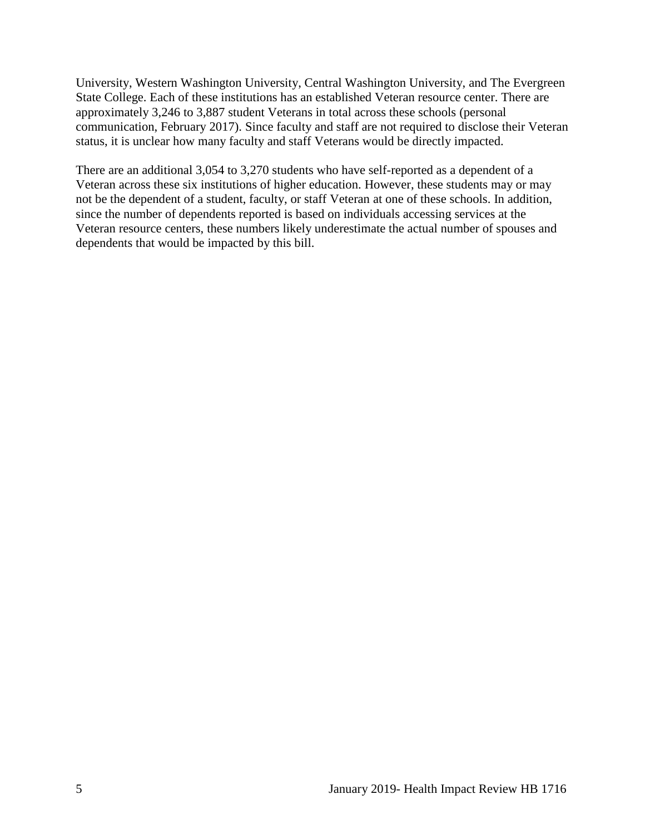University, Western Washington University, Central Washington University, and The Evergreen State College. Each of these institutions has an established Veteran resource center. There are approximately 3,246 to 3,887 student Veterans in total across these schools (personal communication, February 2017). Since faculty and staff are not required to disclose their Veteran status, it is unclear how many faculty and staff Veterans would be directly impacted.

There are an additional 3,054 to 3,270 students who have self-reported as a dependent of a Veteran across these six institutions of higher education. However, these students may or may not be the dependent of a student, faculty, or staff Veteran at one of these schools. In addition, since the number of dependents reported is based on individuals accessing services at the Veteran resource centers, these numbers likely underestimate the actual number of spouses and dependents that would be impacted by this bill.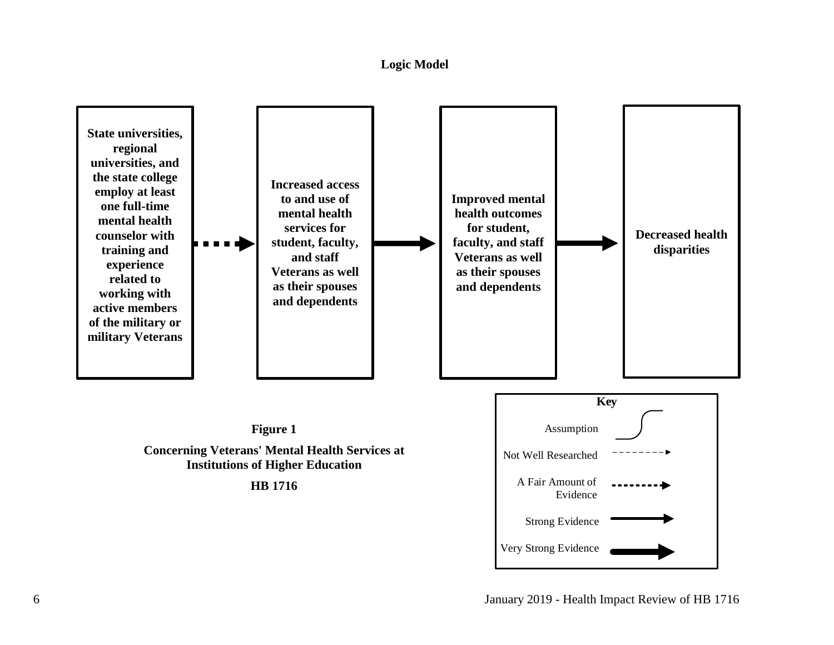#### **Logic Model**

<span id="page-6-0"></span>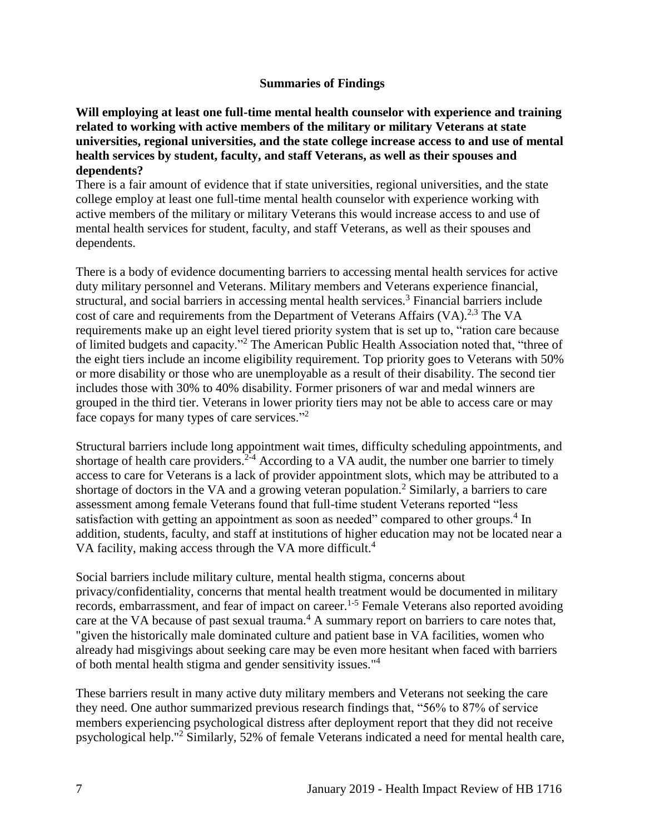#### **Summaries of Findings**

<span id="page-7-0"></span>**Will employing at least one full-time mental health counselor with experience and training related to working with active members of the military or military Veterans at state universities, regional universities, and the state college increase access to and use of mental health services by student, faculty, and staff Veterans, as well as their spouses and dependents?**

There is a fair amount of evidence that if state universities, regional universities, and the state college employ at least one full-time mental health counselor with experience working with active members of the military or military Veterans this would increase access to and use of mental health services for student, faculty, and staff Veterans, as well as their spouses and dependents.

There is a body of evidence documenting barriers to accessing mental health services for active duty military personnel and Veterans. Military members and Veterans experience financial, structural, and social barriers in accessing mental health services.<sup>3</sup> Financial barriers include cost of care and requirements from the Department of Veterans Affairs  $(VA)$ <sup>[2,](#page-11-0)[3](#page-11-1)</sup> The VA requirements make up an eight level tiered priority system that is set up to, "ration care because of limited budgets and capacity."<sup>2</sup> The American Public Health Association noted that, "three of the eight tiers include an income eligibility requirement. Top priority goes to Veterans with 50% or more disability or those who are unemployable as a result of their disability. The second tier includes those with 30% to 40% disability. Former prisoners of war and medal winners are grouped in the third tier. Veterans in lower priority tiers may not be able to access care or may face copays for many types of care services."<sup>2</sup>

Structural barriers include long appointment wait times, difficulty scheduling appointments, and shortage of health care providers.<sup>2-4</sup> According to a VA audit, the number one barrier to timely access to care for Veterans is a lack of provider appointment slots, which may be attributed to a shortage of doctors in the VA and a growing veteran population.<sup>2</sup> Similarly, a barriers to care assessment among female Veterans found that full-time student Veterans reported "less satisfaction with getting an appointment as soon as needed" compared to other groups.<sup>4</sup> In addition, students, faculty, and staff at institutions of higher education may not be located near a VA facility, making access through the VA more difficult.<sup>4</sup>

Social barriers include military culture, mental health stigma, concerns about privacy/confidentiality, concerns that mental health treatment would be documented in military records, embarrassment, and fear of impact on career.<sup>1-5</sup> Female Veterans also reported avoiding care at the VA because of past sexual trauma.<sup>4</sup> A summary report on barriers to care notes that, "given the historically male dominated culture and patient base in VA facilities, women who already had misgivings about seeking care may be even more hesitant when faced with barriers of both mental health stigma and gender sensitivity issues."<sup>4</sup>

These barriers result in many active duty military members and Veterans not seeking the care they need. One author summarized previous research findings that, "56% to 87% of service members experiencing psychological distress after deployment report that they did not receive psychological help."<sup>2</sup> Similarly, 52% of female Veterans indicated a need for mental health care,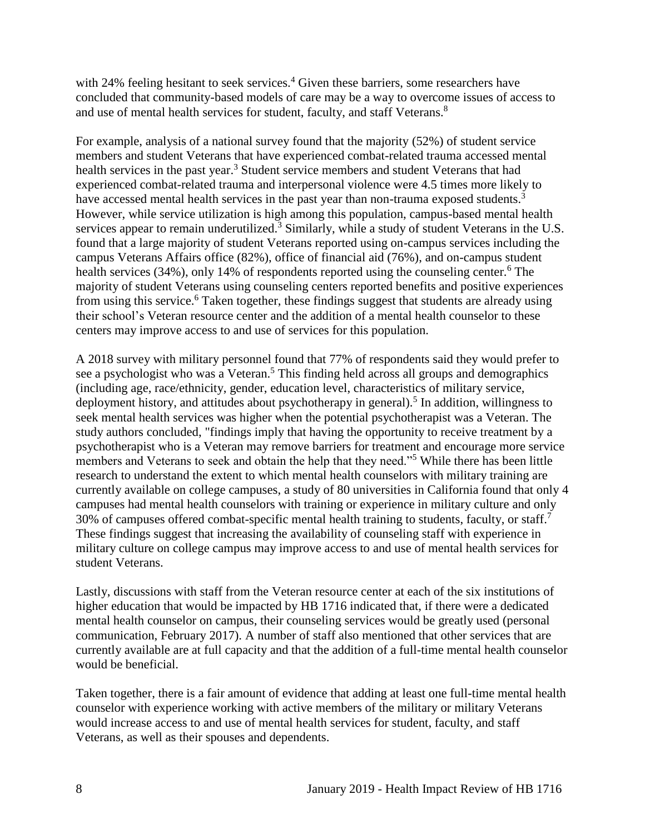with 24% feeling hesitant to seek services.<sup>4</sup> Given these barriers, some researchers have concluded that community-based models of care may be a way to overcome issues of access to and use of mental health services for student, faculty, and staff Veterans.<sup>8</sup>

For example, analysis of a national survey found that the majority (52%) of student service members and student Veterans that have experienced combat-related trauma accessed mental health services in the past year.<sup>3</sup> Student service members and student Veterans that had experienced combat-related trauma and interpersonal violence were 4.5 times more likely to have accessed mental health services in the past year than non-trauma exposed students.<sup>3</sup> However, while service utilization is high among this population, campus-based mental health services appear to remain underutilized.<sup>3</sup> Similarly, while a study of student Veterans in the U.S. found that a large majority of student Veterans reported using on-campus services including the campus Veterans Affairs office (82%), office of financial aid (76%), and on-campus student health services (34%), only 14% of respondents reported using the counseling center.<sup>6</sup> The majority of student Veterans using counseling centers reported benefits and positive experiences from using this service.<sup>6</sup> Taken together, these findings suggest that students are already using their school's Veteran resource center and the addition of a mental health counselor to these centers may improve access to and use of services for this population.

A 2018 survey with military personnel found that 77% of respondents said they would prefer to see a psychologist who was a Veteran.<sup>5</sup> This finding held across all groups and demographics (including age, race/ethnicity, gender, education level, characteristics of military service, deployment history, and attitudes about psychotherapy in general).<sup>5</sup> In addition, willingness to seek mental health services was higher when the potential psychotherapist was a Veteran. The study authors concluded, "findings imply that having the opportunity to receive treatment by a psychotherapist who is a Veteran may remove barriers for treatment and encourage more service members and Veterans to seek and obtain the help that they need."<sup>5</sup> While there has been little research to understand the extent to which mental health counselors with military training are currently available on college campuses, a study of 80 universities in California found that only 4 campuses had mental health counselors with training or experience in military culture and only 30% of campuses offered combat-specific mental health training to students, faculty, or staff.<sup>7</sup> These findings suggest that increasing the availability of counseling staff with experience in military culture on college campus may improve access to and use of mental health services for student Veterans.

Lastly, discussions with staff from the Veteran resource center at each of the six institutions of higher education that would be impacted by HB 1716 indicated that, if there were a dedicated mental health counselor on campus, their counseling services would be greatly used (personal communication, February 2017). A number of staff also mentioned that other services that are currently available are at full capacity and that the addition of a full-time mental health counselor would be beneficial.

Taken together, there is a fair amount of evidence that adding at least one full-time mental health counselor with experience working with active members of the military or military Veterans would increase access to and use of mental health services for student, faculty, and staff Veterans, as well as their spouses and dependents.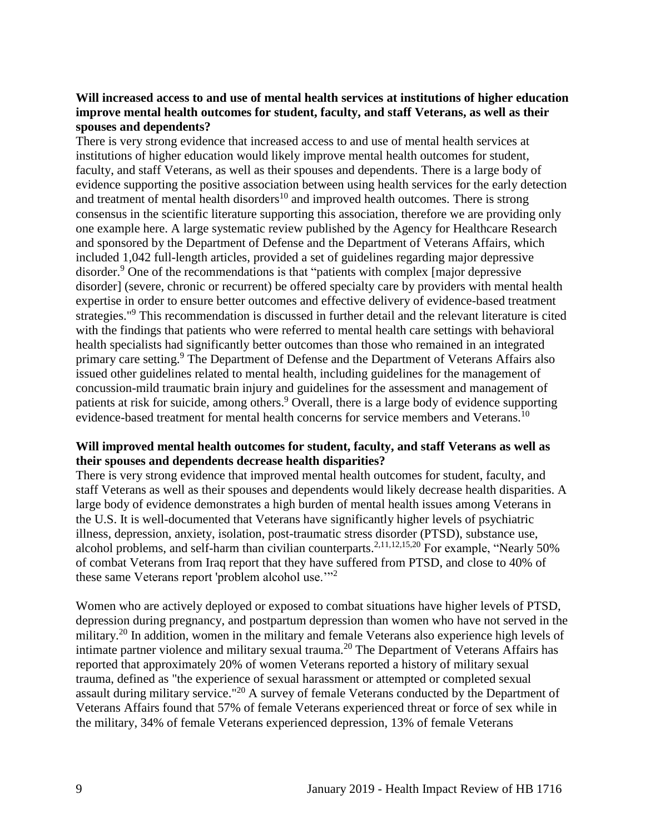#### **Will increased access to and use of mental health services at institutions of higher education improve mental health outcomes for student, faculty, and staff Veterans, as well as their spouses and dependents?**

There is very strong evidence that increased access to and use of mental health services at institutions of higher education would likely improve mental health outcomes for student, faculty, and staff Veterans, as well as their spouses and dependents. There is a large body of evidence supporting the positive association between using health services for the early detection and treatment of mental health disorders<sup>10</sup> and improved health outcomes. There is strong consensus in the scientific literature supporting this association, therefore we are providing only one example here. A large systematic review published by the Agency for Healthcare Research and sponsored by the Department of Defense and the Department of Veterans Affairs, which included 1,042 full-length articles, provided a set of guidelines regarding major depressive disorder.<sup>9</sup> One of the recommendations is that "patients with complex [major depressive disorder] (severe, chronic or recurrent) be offered specialty care by providers with mental health expertise in order to ensure better outcomes and effective delivery of evidence-based treatment strategies."<sup>9</sup> This recommendation is discussed in further detail and the relevant literature is cited with the findings that patients who were referred to mental health care settings with behavioral health specialists had significantly better outcomes than those who remained in an integrated primary care setting.<sup>9</sup> The Department of Defense and the Department of Veterans Affairs also issued other guidelines related to mental health, including guidelines for the management of concussion-mild traumatic brain injury and guidelines for the assessment and management of patients at risk for suicide, among others.<sup>9</sup> Overall, there is a large body of evidence supporting evidence-based treatment for mental health concerns for service members and Veterans.<sup>10</sup>

#### **Will improved mental health outcomes for student, faculty, and staff Veterans as well as their spouses and dependents decrease health disparities?**

There is very strong evidence that improved mental health outcomes for student, faculty, and staff Veterans as well as their spouses and dependents would likely decrease health disparities. A large body of evidence demonstrates a high burden of mental health issues among Veterans in the U.S. It is well-documented that Veterans have significantly higher levels of psychiatric illness, depression, anxiety, isolation, post-traumatic stress disorder (PTSD), substance use, alcohol problems, and self-harm than civilian counterparts.<sup>[2](#page-11-0)[,11](#page-16-0)[,12](#page-16-1)[,15](#page-17-0)[,20](#page-19-1)</sup> For example, "Nearly 50%" of combat Veterans from Iraq report that they have suffered from PTSD, and close to 40% of these same Veterans report 'problem alcohol use."<sup>2</sup>

Women who are actively deployed or exposed to combat situations have higher levels of PTSD, depression during pregnancy, and postpartum depression than women who have not served in the military.<sup>20</sup> In addition, women in the military and female Veterans also experience high levels of intimate partner violence and military sexual trauma.<sup>20</sup> The Department of Veterans Affairs has reported that approximately 20% of women Veterans reported a history of military sexual trauma, defined as "the experience of sexual harassment or attempted or completed sexual assault during military service."<sup>20</sup> A survey of female Veterans conducted by the Department of Veterans Affairs found that 57% of female Veterans experienced threat or force of sex while in the military, 34% of female Veterans experienced depression, 13% of female Veterans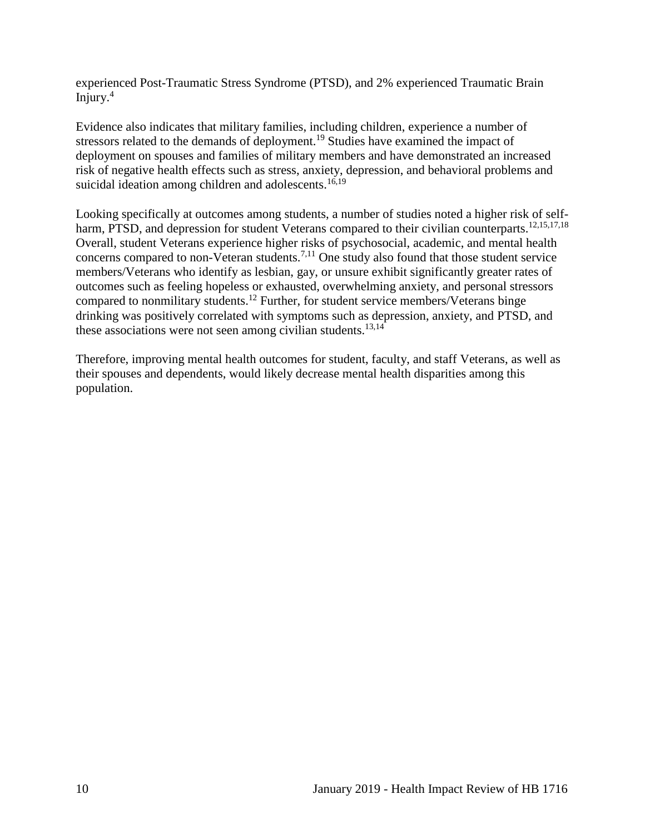experienced Post-Traumatic Stress Syndrome (PTSD), and 2% experienced Traumatic Brain Injury. $4$ 

Evidence also indicates that military families, including children, experience a number of stressors related to the demands of deployment.<sup>19</sup> Studies have examined the impact of deployment on spouses and families of military members and have demonstrated an increased risk of negative health effects such as stress, anxiety, depression, and behavioral problems and suicidal ideation among children and adolescents.<sup>[16,](#page-18-0)[19](#page-19-2)</sup>

Looking specifically at outcomes among students, a number of studies noted a higher risk of self-harm, PTSD, and depression for student Veterans compared to their civilian counterparts.<sup>[12](#page-16-1)[,15](#page-17-0)[,17](#page-18-1)[,18](#page-19-0)</sup> Overall, student Veterans experience higher risks of psychosocial, academic, and mental health concerns compared to non-Veteran students.[7,](#page-14-0)[11](#page-16-0) One study also found that those student service members/Veterans who identify as lesbian, gay, or unsure exhibit significantly greater rates of outcomes such as feeling hopeless or exhausted, overwhelming anxiety, and personal stressors compared to nonmilitary students.<sup>12</sup> Further, for student service members/Veterans binge drinking was positively correlated with symptoms such as depression, anxiety, and PTSD, and these associations were not seen among civilian students.<sup>[13,](#page-17-1)[14](#page-17-2)</sup>

<span id="page-10-0"></span>Therefore, improving mental health outcomes for student, faculty, and staff Veterans, as well as their spouses and dependents, would likely decrease mental health disparities among this population.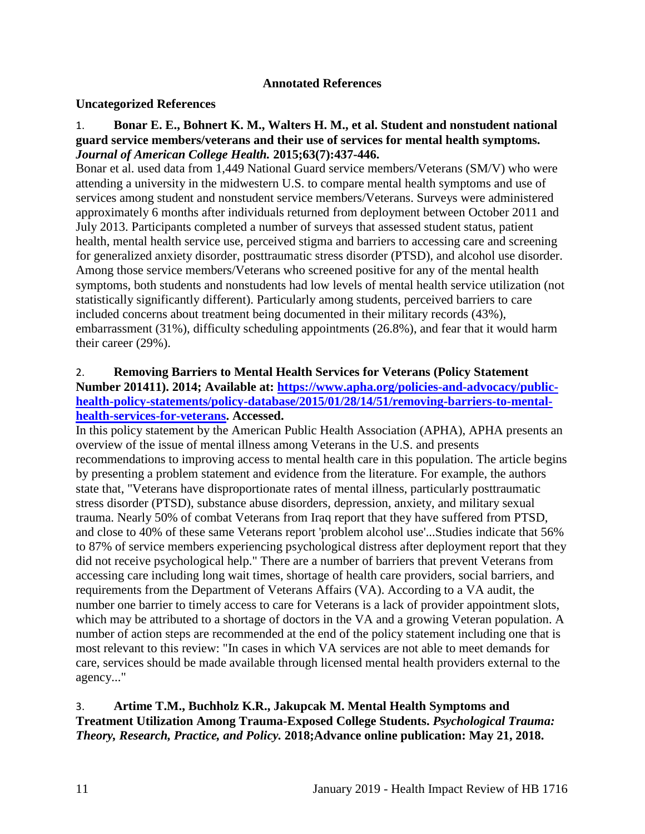#### **Annotated References**

#### **Uncategorized References**

#### 1. **Bonar E. E., Bohnert K. M., Walters H. M., et al. Student and nonstudent national guard service members/veterans and their use of services for mental health symptoms.**  *Journal of American College Health.* **2015;63(7):437-446.**

Bonar et al. used data from 1,449 National Guard service members/Veterans (SM/V) who were attending a university in the midwestern U.S. to compare mental health symptoms and use of services among student and nonstudent service members/Veterans. Surveys were administered approximately 6 months after individuals returned from deployment between October 2011 and July 2013. Participants completed a number of surveys that assessed student status, patient health, mental health service use, perceived stigma and barriers to accessing care and screening for generalized anxiety disorder, posttraumatic stress disorder (PTSD), and alcohol use disorder. Among those service members/Veterans who screened positive for any of the mental health symptoms, both students and nonstudents had low levels of mental health service utilization (not statistically significantly different). Particularly among students, perceived barriers to care included concerns about treatment being documented in their military records (43%), embarrassment (31%), difficulty scheduling appointments (26.8%), and fear that it would harm their career (29%).

## <span id="page-11-0"></span>2. **Removing Barriers to Mental Health Services for Veterans (Policy Statement Number 201411). 2014; Available at: [https://www.apha.org/policies-and-advocacy/public](https://www.apha.org/policies-and-advocacy/public-health-policy-statements/policy-database/2015/01/28/14/51/removing-barriers-to-mental-health-services-for-veterans)[health-policy-statements/policy-database/2015/01/28/14/51/removing-barriers-to-mental](https://www.apha.org/policies-and-advocacy/public-health-policy-statements/policy-database/2015/01/28/14/51/removing-barriers-to-mental-health-services-for-veterans)[health-services-for-veterans.](https://www.apha.org/policies-and-advocacy/public-health-policy-statements/policy-database/2015/01/28/14/51/removing-barriers-to-mental-health-services-for-veterans) Accessed.**

In this policy statement by the American Public Health Association (APHA), APHA presents an overview of the issue of mental illness among Veterans in the U.S. and presents recommendations to improving access to mental health care in this population. The article begins by presenting a problem statement and evidence from the literature. For example, the authors state that, "Veterans have disproportionate rates of mental illness, particularly posttraumatic stress disorder (PTSD), substance abuse disorders, depression, anxiety, and military sexual trauma. Nearly 50% of combat Veterans from Iraq report that they have suffered from PTSD, and close to 40% of these same Veterans report 'problem alcohol use'...Studies indicate that 56% to 87% of service members experiencing psychological distress after deployment report that they did not receive psychological help." There are a number of barriers that prevent Veterans from accessing care including long wait times, shortage of health care providers, social barriers, and requirements from the Department of Veterans Affairs (VA). According to a VA audit, the number one barrier to timely access to care for Veterans is a lack of provider appointment slots, which may be attributed to a shortage of doctors in the VA and a growing Veteran population. A number of action steps are recommended at the end of the policy statement including one that is most relevant to this review: "In cases in which VA services are not able to meet demands for care, services should be made available through licensed mental health providers external to the agency..."

## <span id="page-11-1"></span>3. **Artime T.M., Buchholz K.R., Jakupcak M. Mental Health Symptoms and Treatment Utilization Among Trauma-Exposed College Students.** *Psychological Trauma: Theory, Research, Practice, and Policy.* **2018;Advance online publication: May 21, 2018.**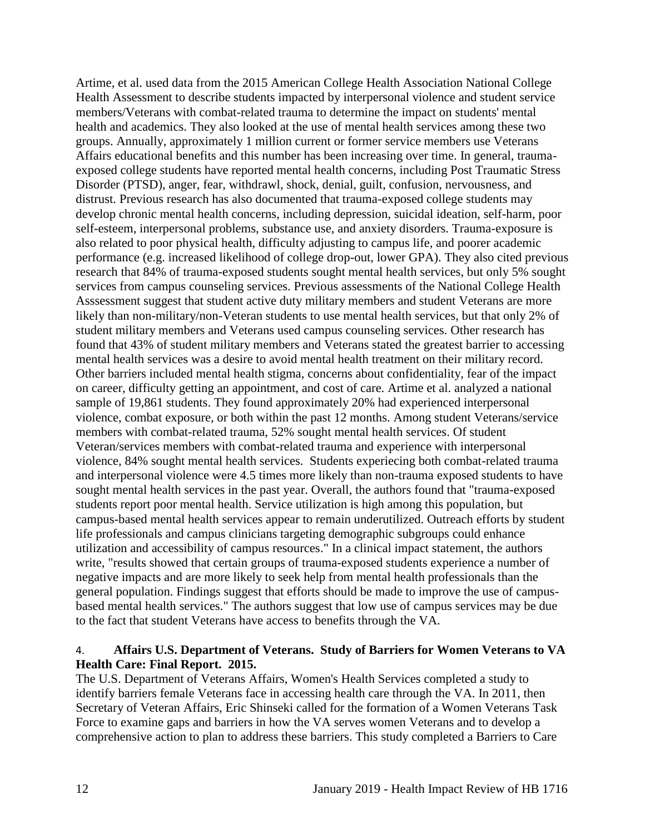Artime, et al. used data from the 2015 American College Health Association National College Health Assessment to describe students impacted by interpersonal violence and student service members/Veterans with combat-related trauma to determine the impact on students' mental health and academics. They also looked at the use of mental health services among these two groups. Annually, approximately 1 million current or former service members use Veterans Affairs educational benefits and this number has been increasing over time. In general, traumaexposed college students have reported mental health concerns, including Post Traumatic Stress Disorder (PTSD), anger, fear, withdrawl, shock, denial, guilt, confusion, nervousness, and distrust. Previous research has also documented that trauma-exposed college students may develop chronic mental health concerns, including depression, suicidal ideation, self-harm, poor self-esteem, interpersonal problems, substance use, and anxiety disorders. Trauma-exposure is also related to poor physical health, difficulty adjusting to campus life, and poorer academic performance (e.g. increased likelihood of college drop-out, lower GPA). They also cited previous research that 84% of trauma-exposed students sought mental health services, but only 5% sought services from campus counseling services. Previous assessments of the National College Health Asssessment suggest that student active duty military members and student Veterans are more likely than non-military/non-Veteran students to use mental health services, but that only 2% of student military members and Veterans used campus counseling services. Other research has found that 43% of student military members and Veterans stated the greatest barrier to accessing mental health services was a desire to avoid mental health treatment on their military record. Other barriers included mental health stigma, concerns about confidentiality, fear of the impact on career, difficulty getting an appointment, and cost of care. Artime et al. analyzed a national sample of 19,861 students. They found approximately 20% had experienced interpersonal violence, combat exposure, or both within the past 12 months. Among student Veterans/service members with combat-related trauma, 52% sought mental health services. Of student Veteran/services members with combat-related trauma and experience with interpersonal violence, 84% sought mental health services. Students experiecing both combat-related trauma and interpersonal violence were 4.5 times more likely than non-trauma exposed students to have sought mental health services in the past year. Overall, the authors found that "trauma-exposed students report poor mental health. Service utilization is high among this population, but campus-based mental health services appear to remain underutilized. Outreach efforts by student life professionals and campus clinicians targeting demographic subgroups could enhance utilization and accessibility of campus resources." In a clinical impact statement, the authors write, "results showed that certain groups of trauma-exposed students experience a number of negative impacts and are more likely to seek help from mental health professionals than the general population. Findings suggest that efforts should be made to improve the use of campusbased mental health services." The authors suggest that low use of campus services may be due to the fact that student Veterans have access to benefits through the VA.

#### <span id="page-12-0"></span>4. **Affairs U.S. Department of Veterans. Study of Barriers for Women Veterans to VA Health Care: Final Report. 2015.**

The U.S. Department of Veterans Affairs, Women's Health Services completed a study to identify barriers female Veterans face in accessing health care through the VA. In 2011, then Secretary of Veteran Affairs, Eric Shinseki called for the formation of a Women Veterans Task Force to examine gaps and barriers in how the VA serves women Veterans and to develop a comprehensive action to plan to address these barriers. This study completed a Barriers to Care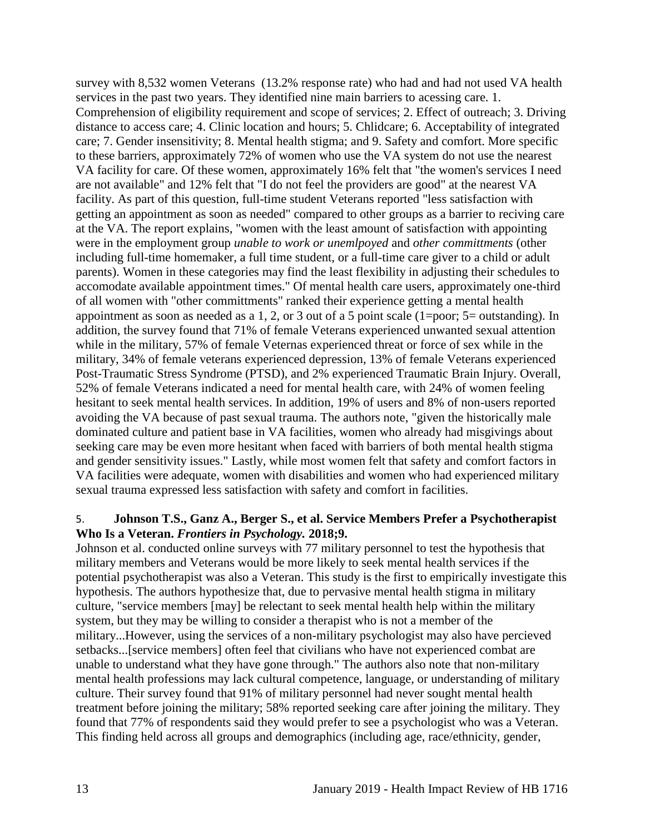survey with 8,532 women Veterans (13.2% response rate) who had and had not used VA health services in the past two years. They identified nine main barriers to acessing care. 1. Comprehension of eligibility requirement and scope of services; 2. Effect of outreach; 3. Driving distance to access care; 4. Clinic location and hours; 5. Chlidcare; 6. Acceptability of integrated care; 7. Gender insensitivity; 8. Mental health stigma; and 9. Safety and comfort. More specific to these barriers, approximately 72% of women who use the VA system do not use the nearest VA facility for care. Of these women, approximately 16% felt that "the women's services I need are not available" and 12% felt that "I do not feel the providers are good" at the nearest VA facility. As part of this question, full-time student Veterans reported "less satisfaction with getting an appointment as soon as needed" compared to other groups as a barrier to reciving care at the VA. The report explains, "women with the least amount of satisfaction with appointing were in the employment group *unable to work or unemlpoyed* and *other committments* (other including full-time homemaker, a full time student, or a full-time care giver to a child or adult parents). Women in these categories may find the least flexibility in adjusting their schedules to accomodate available appointment times." Of mental health care users, approximately one-third of all women with "other committments" ranked their experience getting a mental health appointment as soon as needed as a 1, 2, or 3 out of a 5 point scale (1=poor; 5= outstanding). In addition, the survey found that 71% of female Veterans experienced unwanted sexual attention while in the military, 57% of female Veternas experienced threat or force of sex while in the military, 34% of female veterans experienced depression, 13% of female Veterans experienced Post-Traumatic Stress Syndrome (PTSD), and 2% experienced Traumatic Brain Injury. Overall, 52% of female Veterans indicated a need for mental health care, with 24% of women feeling hesitant to seek mental health services. In addition, 19% of users and 8% of non-users reported avoiding the VA because of past sexual trauma. The authors note, "given the historically male dominated culture and patient base in VA facilities, women who already had misgivings about seeking care may be even more hesitant when faced with barriers of both mental health stigma and gender sensitivity issues." Lastly, while most women felt that safety and comfort factors in VA facilities were adequate, women with disabilities and women who had experienced military sexual trauma expressed less satisfaction with safety and comfort in facilities.

#### 5. **Johnson T.S., Ganz A., Berger S., et al. Service Members Prefer a Psychotherapist Who Is a Veteran.** *Frontiers in Psychology.* **2018;9.**

Johnson et al. conducted online surveys with 77 military personnel to test the hypothesis that military members and Veterans would be more likely to seek mental health services if the potential psychotherapist was also a Veteran. This study is the first to empirically investigate this hypothesis. The authors hypothesize that, due to pervasive mental health stigma in military culture, "service members [may] be relectant to seek mental health help within the military system, but they may be willing to consider a therapist who is not a member of the military...However, using the services of a non-military psychologist may also have percieved setbacks...[service members] often feel that civilians who have not experienced combat are unable to understand what they have gone through." The authors also note that non-military mental health professions may lack cultural competence, language, or understanding of military culture. Their survey found that 91% of military personnel had never sought mental health treatment before joining the military; 58% reported seeking care after joining the military. They found that 77% of respondents said they would prefer to see a psychologist who was a Veteran. This finding held across all groups and demographics (including age, race/ethnicity, gender,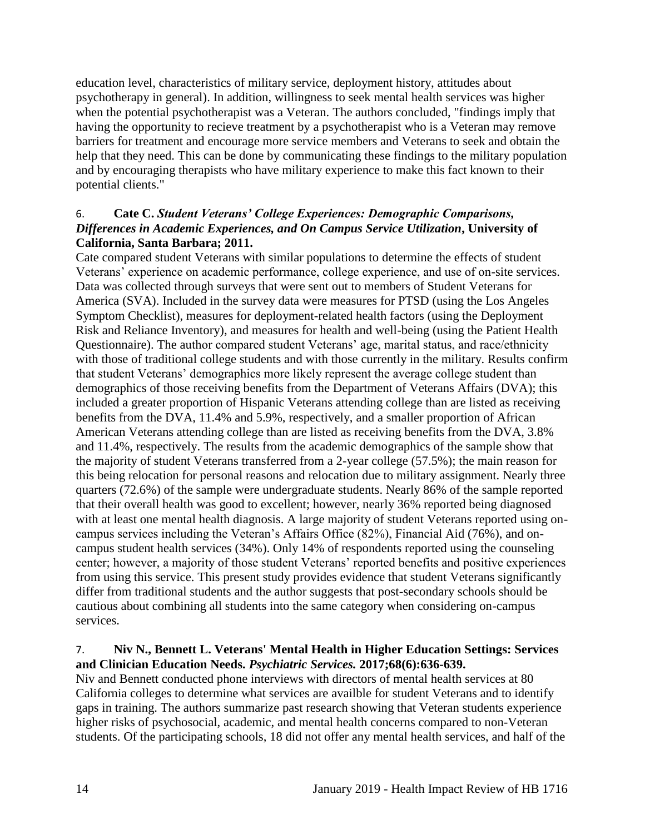education level, characteristics of military service, deployment history, attitudes about psychotherapy in general). In addition, willingness to seek mental health services was higher when the potential psychotherapist was a Veteran. The authors concluded, "findings imply that having the opportunity to recieve treatment by a psychotherapist who is a Veteran may remove barriers for treatment and encourage more service members and Veterans to seek and obtain the help that they need. This can be done by communicating these findings to the military population and by encouraging therapists who have military experience to make this fact known to their potential clients."

## 6. **Cate C.** *Student Veterans' College Experiences: Demographic Comparisons, Differences in Academic Experiences, and On Campus Service Utilization***, University of California, Santa Barbara; 2011.**

Cate compared student Veterans with similar populations to determine the effects of student Veterans' experience on academic performance, college experience, and use of on-site services. Data was collected through surveys that were sent out to members of Student Veterans for America (SVA). Included in the survey data were measures for PTSD (using the Los Angeles Symptom Checklist), measures for deployment-related health factors (using the Deployment Risk and Reliance Inventory), and measures for health and well-being (using the Patient Health Questionnaire). The author compared student Veterans' age, marital status, and race/ethnicity with those of traditional college students and with those currently in the military. Results confirm that student Veterans' demographics more likely represent the average college student than demographics of those receiving benefits from the Department of Veterans Affairs (DVA); this included a greater proportion of Hispanic Veterans attending college than are listed as receiving benefits from the DVA, 11.4% and 5.9%, respectively, and a smaller proportion of African American Veterans attending college than are listed as receiving benefits from the DVA, 3.8% and 11.4%, respectively. The results from the academic demographics of the sample show that the majority of student Veterans transferred from a 2-year college (57.5%); the main reason for this being relocation for personal reasons and relocation due to military assignment. Nearly three quarters (72.6%) of the sample were undergraduate students. Nearly 86% of the sample reported that their overall health was good to excellent; however, nearly 36% reported being diagnosed with at least one mental health diagnosis. A large majority of student Veterans reported using oncampus services including the Veteran's Affairs Office (82%), Financial Aid (76%), and oncampus student health services (34%). Only 14% of respondents reported using the counseling center; however, a majority of those student Veterans' reported benefits and positive experiences from using this service. This present study provides evidence that student Veterans significantly differ from traditional students and the author suggests that post-secondary schools should be cautious about combining all students into the same category when considering on-campus services.

## <span id="page-14-0"></span>7. **Niv N., Bennett L. Veterans' Mental Health in Higher Education Settings: Services and Clinician Education Needs.** *Psychiatric Services.* **2017;68(6):636-639.**

Niv and Bennett conducted phone interviews with directors of mental health services at 80 California colleges to determine what services are availble for student Veterans and to identify gaps in training. The authors summarize past research showing that Veteran students experience higher risks of psychosocial, academic, and mental health concerns compared to non-Veteran students. Of the participating schools, 18 did not offer any mental health services, and half of the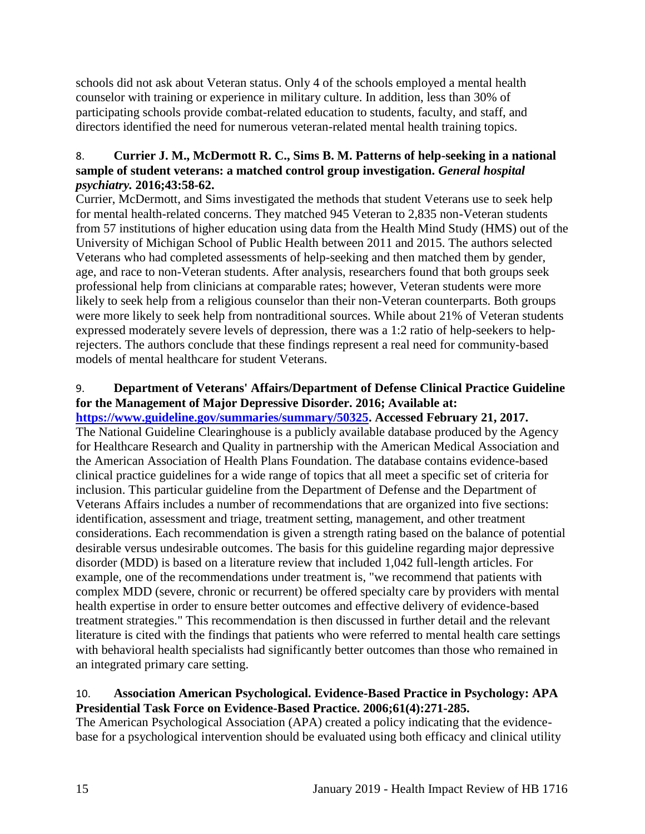schools did not ask about Veteran status. Only 4 of the schools employed a mental health counselor with training or experience in military culture. In addition, less than 30% of participating schools provide combat-related education to students, faculty, and staff, and directors identified the need for numerous veteran-related mental health training topics.

## 8. **Currier J. M., McDermott R. C., Sims B. M. Patterns of help-seeking in a national sample of student veterans: a matched control group investigation.** *General hospital psychiatry.* **2016;43:58-62.**

Currier, McDermott, and Sims investigated the methods that student Veterans use to seek help for mental health-related concerns. They matched 945 Veteran to 2,835 non-Veteran students from 57 institutions of higher education using data from the Health Mind Study (HMS) out of the University of Michigan School of Public Health between 2011 and 2015. The authors selected Veterans who had completed assessments of help-seeking and then matched them by gender, age, and race to non-Veteran students. After analysis, researchers found that both groups seek professional help from clinicians at comparable rates; however, Veteran students were more likely to seek help from a religious counselor than their non-Veteran counterparts. Both groups were more likely to seek help from nontraditional sources. While about 21% of Veteran students expressed moderately severe levels of depression, there was a 1:2 ratio of help-seekers to helprejecters. The authors conclude that these findings represent a real need for community-based models of mental healthcare for student Veterans.

## <span id="page-15-0"></span>9. **Department of Veterans' Affairs/Department of Defense Clinical Practice Guideline for the Management of Major Depressive Disorder. 2016; Available at:**

**[https://www.guideline.gov/summaries/summary/50325.](https://www.guideline.gov/summaries/summary/50325) Accessed February 21, 2017.** The National Guideline Clearinghouse is a publicly available database produced by the Agency for Healthcare Research and Quality in partnership with the American Medical Association and the American Association of Health Plans Foundation. The database contains evidence-based clinical practice guidelines for a wide range of topics that all meet a specific set of criteria for inclusion. This particular guideline from the Department of Defense and the Department of Veterans Affairs includes a number of recommendations that are organized into five sections: identification, assessment and triage, treatment setting, management, and other treatment considerations. Each recommendation is given a strength rating based on the balance of potential desirable versus undesirable outcomes. The basis for this guideline regarding major depressive disorder (MDD) is based on a literature review that included 1,042 full-length articles. For example, one of the recommendations under treatment is, "we recommend that patients with complex MDD (severe, chronic or recurrent) be offered specialty care by providers with mental health expertise in order to ensure better outcomes and effective delivery of evidence-based treatment strategies." This recommendation is then discussed in further detail and the relevant literature is cited with the findings that patients who were referred to mental health care settings with behavioral health specialists had significantly better outcomes than those who remained in an integrated primary care setting.

### <span id="page-15-1"></span>10. **Association American Psychological. Evidence-Based Practice in Psychology: APA Presidential Task Force on Evidence-Based Practice. 2006;61(4):271-285.**

The American Psychological Association (APA) created a policy indicating that the evidencebase for a psychological intervention should be evaluated using both efficacy and clinical utility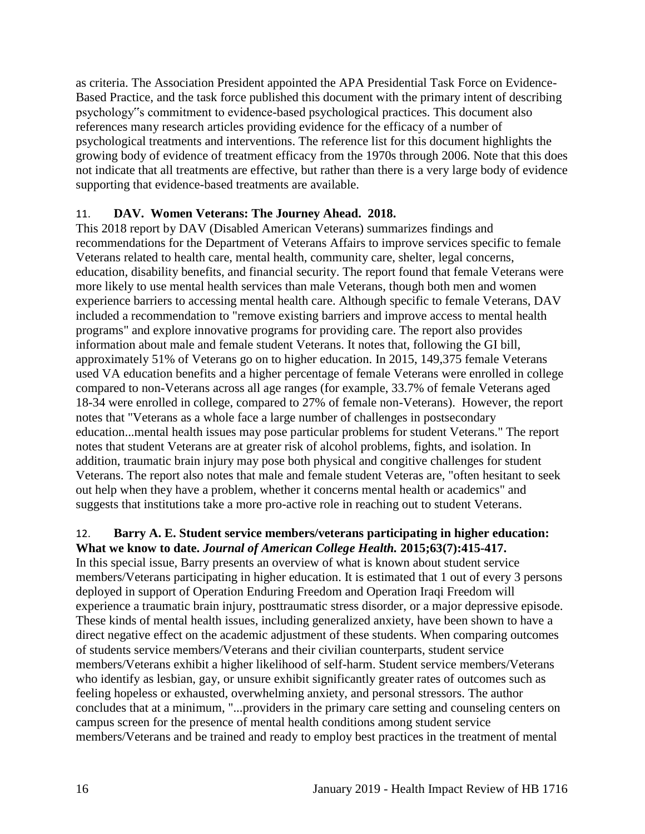as criteria. The Association President appointed the APA Presidential Task Force on Evidence-Based Practice, and the task force published this document with the primary intent of describing psychology"s commitment to evidence-based psychological practices. This document also references many research articles providing evidence for the efficacy of a number of psychological treatments and interventions. The reference list for this document highlights the growing body of evidence of treatment efficacy from the 1970s through 2006. Note that this does not indicate that all treatments are effective, but rather than there is a very large body of evidence supporting that evidence-based treatments are available.

### <span id="page-16-0"></span>11. **DAV. Women Veterans: The Journey Ahead. 2018.**

This 2018 report by DAV (Disabled American Veterans) summarizes findings and recommendations for the Department of Veterans Affairs to improve services specific to female Veterans related to health care, mental health, community care, shelter, legal concerns, education, disability benefits, and financial security. The report found that female Veterans were more likely to use mental health services than male Veterans, though both men and women experience barriers to accessing mental health care. Although specific to female Veterans, DAV included a recommendation to "remove existing barriers and improve access to mental health programs" and explore innovative programs for providing care. The report also provides information about male and female student Veterans. It notes that, following the GI bill, approximately 51% of Veterans go on to higher education. In 2015, 149,375 female Veterans used VA education benefits and a higher percentage of female Veterans were enrolled in college compared to non-Veterans across all age ranges (for example, 33.7% of female Veterans aged 18-34 were enrolled in college, compared to 27% of female non-Veterans). However, the report notes that "Veterans as a whole face a large number of challenges in postsecondary education...mental health issues may pose particular problems for student Veterans." The report notes that student Veterans are at greater risk of alcohol problems, fights, and isolation. In addition, traumatic brain injury may pose both physical and congitive challenges for student Veterans. The report also notes that male and female student Veteras are, "often hesitant to seek out help when they have a problem, whether it concerns mental health or academics" and suggests that institutions take a more pro-active role in reaching out to student Veterans.

#### <span id="page-16-1"></span>12. **Barry A. E. Student service members/veterans participating in higher education: What we know to date.** *Journal of American College Health.* **2015;63(7):415-417.**

In this special issue, Barry presents an overview of what is known about student service members/Veterans participating in higher education. It is estimated that 1 out of every 3 persons deployed in support of Operation Enduring Freedom and Operation Iraqi Freedom will experience a traumatic brain injury, posttraumatic stress disorder, or a major depressive episode. These kinds of mental health issues, including generalized anxiety, have been shown to have a direct negative effect on the academic adjustment of these students. When comparing outcomes of students service members/Veterans and their civilian counterparts, student service members/Veterans exhibit a higher likelihood of self-harm. Student service members/Veterans who identify as lesbian, gay, or unsure exhibit significantly greater rates of outcomes such as feeling hopeless or exhausted, overwhelming anxiety, and personal stressors. The author concludes that at a minimum, "...providers in the primary care setting and counseling centers on campus screen for the presence of mental health conditions among student service members/Veterans and be trained and ready to employ best practices in the treatment of mental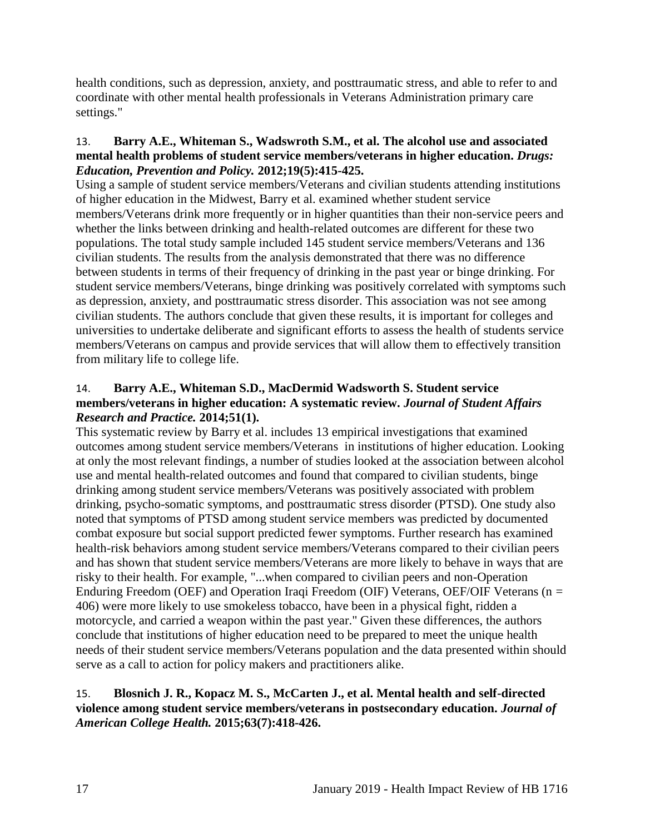health conditions, such as depression, anxiety, and posttraumatic stress, and able to refer to and coordinate with other mental health professionals in Veterans Administration primary care settings."

#### <span id="page-17-1"></span>13. **Barry A.E., Whiteman S., Wadswroth S.M., et al. The alcohol use and associated mental health problems of student service members/veterans in higher education.** *Drugs: Education, Prevention and Policy.* **2012;19(5):415-425.**

Using a sample of student service members/Veterans and civilian students attending institutions of higher education in the Midwest, Barry et al. examined whether student service members/Veterans drink more frequently or in higher quantities than their non-service peers and whether the links between drinking and health-related outcomes are different for these two populations. The total study sample included 145 student service members/Veterans and 136 civilian students. The results from the analysis demonstrated that there was no difference between students in terms of their frequency of drinking in the past year or binge drinking. For student service members/Veterans, binge drinking was positively correlated with symptoms such as depression, anxiety, and posttraumatic stress disorder. This association was not see among civilian students. The authors conclude that given these results, it is important for colleges and universities to undertake deliberate and significant efforts to assess the health of students service members/Veterans on campus and provide services that will allow them to effectively transition from military life to college life.

## <span id="page-17-2"></span>14. **Barry A.E., Whiteman S.D., MacDermid Wadsworth S. Student service members/veterans in higher education: A systematic review.** *Journal of Student Affairs Research and Practice.* **2014;51(1).**

This systematic review by Barry et al. includes 13 empirical investigations that examined outcomes among student service members/Veterans in institutions of higher education. Looking at only the most relevant findings, a number of studies looked at the association between alcohol use and mental health-related outcomes and found that compared to civilian students, binge drinking among student service members/Veterans was positively associated with problem drinking, psycho-somatic symptoms, and posttraumatic stress disorder (PTSD). One study also noted that symptoms of PTSD among student service members was predicted by documented combat exposure but social support predicted fewer symptoms. Further research has examined health-risk behaviors among student service members/Veterans compared to their civilian peers and has shown that student service members/Veterans are more likely to behave in ways that are risky to their health. For example, "...when compared to civilian peers and non-Operation Enduring Freedom (OEF) and Operation Iraqi Freedom (OIF) Veterans, OEF/OIF Veterans ( $n =$ 406) were more likely to use smokeless tobacco, have been in a physical fight, ridden a motorcycle, and carried a weapon within the past year." Given these differences, the authors conclude that institutions of higher education need to be prepared to meet the unique health needs of their student service members/Veterans population and the data presented within should serve as a call to action for policy makers and practitioners alike.

### <span id="page-17-0"></span>15. **Blosnich J. R., Kopacz M. S., McCarten J., et al. Mental health and self-directed violence among student service members/veterans in postsecondary education.** *Journal of American College Health.* **2015;63(7):418-426.**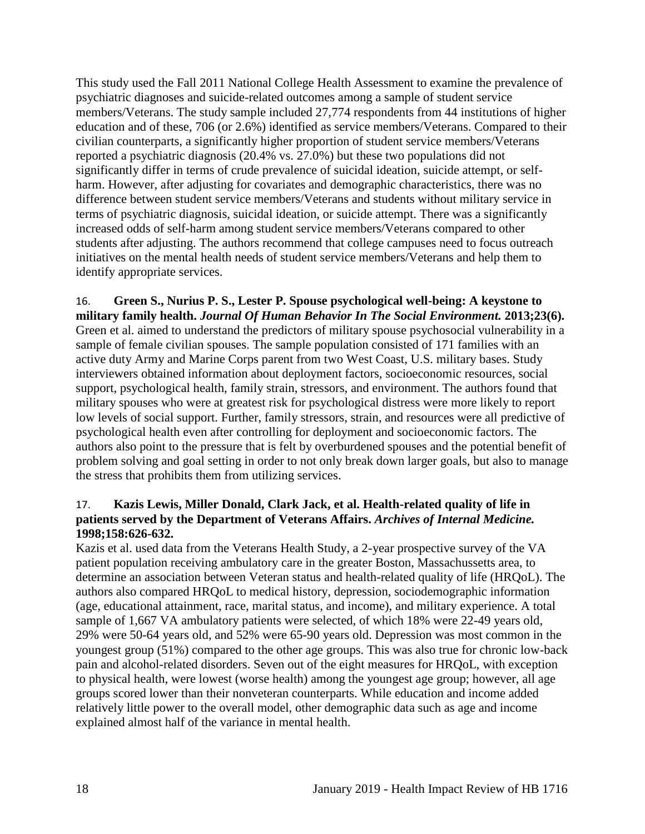This study used the Fall 2011 National College Health Assessment to examine the prevalence of psychiatric diagnoses and suicide-related outcomes among a sample of student service members/Veterans. The study sample included 27,774 respondents from 44 institutions of higher education and of these, 706 (or 2.6%) identified as service members/Veterans. Compared to their civilian counterparts, a significantly higher proportion of student service members/Veterans reported a psychiatric diagnosis (20.4% vs. 27.0%) but these two populations did not significantly differ in terms of crude prevalence of suicidal ideation, suicide attempt, or selfharm. However, after adjusting for covariates and demographic characteristics, there was no difference between student service members/Veterans and students without military service in terms of psychiatric diagnosis, suicidal ideation, or suicide attempt. There was a significantly increased odds of self-harm among student service members/Veterans compared to other students after adjusting. The authors recommend that college campuses need to focus outreach initiatives on the mental health needs of student service members/Veterans and help them to identify appropriate services.

<span id="page-18-0"></span>16. **Green S., Nurius P. S., Lester P. Spouse psychological well-being: A keystone to military family health.** *Journal Of Human Behavior In The Social Environment.* **2013;23(6).** Green et al. aimed to understand the predictors of military spouse psychosocial vulnerability in a sample of female civilian spouses. The sample population consisted of 171 families with an active duty Army and Marine Corps parent from two West Coast, U.S. military bases. Study interviewers obtained information about deployment factors, socioeconomic resources, social support, psychological health, family strain, stressors, and environment. The authors found that military spouses who were at greatest risk for psychological distress were more likely to report low levels of social support. Further, family stressors, strain, and resources were all predictive of psychological health even after controlling for deployment and socioeconomic factors. The authors also point to the pressure that is felt by overburdened spouses and the potential benefit of problem solving and goal setting in order to not only break down larger goals, but also to manage the stress that prohibits them from utilizing services.

### <span id="page-18-1"></span>17. **Kazis Lewis, Miller Donald, Clark Jack, et al. Health-related quality of life in patients served by the Department of Veterans Affairs.** *Archives of Internal Medicine.*  **1998;158:626-632.**

Kazis et al. used data from the Veterans Health Study, a 2-year prospective survey of the VA patient population receiving ambulatory care in the greater Boston, Massachussetts area, to determine an association between Veteran status and health-related quality of life (HRQoL). The authors also compared HRQoL to medical history, depression, sociodemographic information (age, educational attainment, race, marital status, and income), and military experience. A total sample of 1,667 VA ambulatory patients were selected, of which 18% were 22-49 years old, 29% were 50-64 years old, and 52% were 65-90 years old. Depression was most common in the youngest group (51%) compared to the other age groups. This was also true for chronic low-back pain and alcohol-related disorders. Seven out of the eight measures for HRQoL, with exception to physical health, were lowest (worse health) among the youngest age group; however, all age groups scored lower than their nonveteran counterparts. While education and income added relatively little power to the overall model, other demographic data such as age and income explained almost half of the variance in mental health.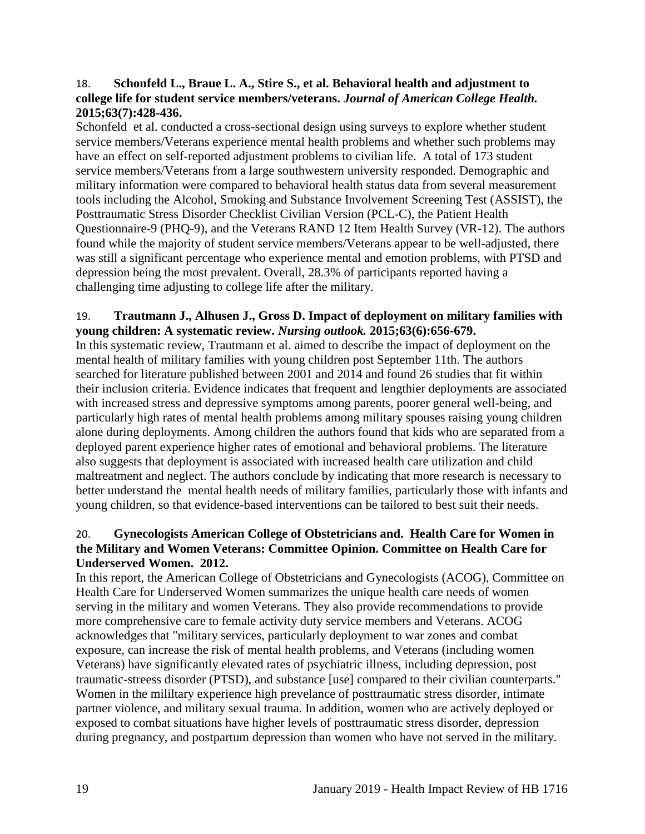#### <span id="page-19-0"></span>18. **Schonfeld L., Braue L. A., Stire S., et al. Behavioral health and adjustment to college life for student service members/veterans.** *Journal of American College Health.*  **2015;63(7):428-436.**

Schonfeld et al. conducted a cross-sectional design using surveys to explore whether student service members/Veterans experience mental health problems and whether such problems may have an effect on self-reported adjustment problems to civilian life. A total of 173 student service members/Veterans from a large southwestern university responded. Demographic and military information were compared to behavioral health status data from several measurement tools including the Alcohol, Smoking and Substance Involvement Screening Test (ASSIST), the Posttraumatic Stress Disorder Checklist Civilian Version (PCL-C), the Patient Health Questionnaire-9 (PHQ-9), and the Veterans RAND 12 Item Health Survey (VR-12). The authors found while the majority of student service members/Veterans appear to be well-adjusted, there was still a significant percentage who experience mental and emotion problems, with PTSD and depression being the most prevalent. Overall, 28.3% of participants reported having a challenging time adjusting to college life after the military.

#### <span id="page-19-2"></span>19. **Trautmann J., Alhusen J., Gross D. Impact of deployment on military families with young children: A systematic review.** *Nursing outlook.* **2015;63(6):656-679.**

In this systematic review, Trautmann et al. aimed to describe the impact of deployment on the mental health of military families with young children post September 11th. The authors searched for literature published between 2001 and 2014 and found 26 studies that fit within their inclusion criteria. Evidence indicates that frequent and lengthier deployments are associated with increased stress and depressive symptoms among parents, poorer general well-being, and particularly high rates of mental health problems among military spouses raising young children alone during deployments. Among children the authors found that kids who are separated from a deployed parent experience higher rates of emotional and behavioral problems. The literature also suggests that deployment is associated with increased health care utilization and child maltreatment and neglect. The authors conclude by indicating that more research is necessary to better understand the mental health needs of military families, particularly those with infants and young children, so that evidence-based interventions can be tailored to best suit their needs.

#### <span id="page-19-1"></span>20. **Gynecologists American College of Obstetricians and. Health Care for Women in the Military and Women Veterans: Committee Opinion. Committee on Health Care for Underserved Women. 2012.**

In this report, the American College of Obstetricians and Gynecologists (ACOG), Committee on Health Care for Underserved Women summarizes the unique health care needs of women serving in the military and women Veterans. They also provide recommendations to provide more comprehensive care to female activity duty service members and Veterans. ACOG acknowledges that "military services, particularly deployment to war zones and combat exposure, can increase the risk of mental health problems, and Veterans (including women Veterans) have significantly elevated rates of psychiatric illness, including depression, post traumatic-streess disorder (PTSD), and substance [use] compared to their civilian counterparts." Women in the mililtary experience high prevelance of posttraumatic stress disorder, intimate partner violence, and military sexual trauma. In addition, women who are actively deployed or exposed to combat situations have higher levels of posttraumatic stress disorder, depression during pregnancy, and postpartum depression than women who have not served in the military.